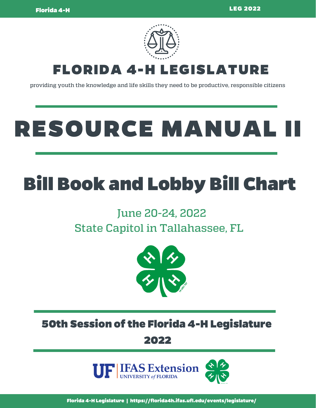

providing youth the knowledge and life skills they need to be productive, responsible citizens

# RESOURCE MANUAL I

## Bill Book and Lobby Bill Chart

### June 20-24, 2022 State Capitol in Tallahassee, FL



50th Session of the Florida 4-H Legislature 2022

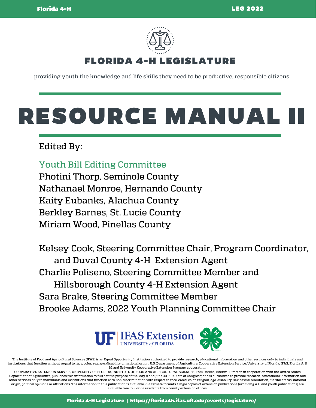

providing youth the knowledge and life skills they need to be productive, responsible citizens

## RESOURCE MANUAL I

### Edited By:

Youth Bill Editing Committee Photini Thorp, Seminole County

Nathanael Monroe, Hernando County Kaity Eubanks, Alachua County Berkley Barnes, St. Lucie County Miriam Wood, Pinellas County

Kelsey Cook, Steering Committee Chair, Program Coordinator, and Duval County 4-H Extension Agent Charlie Poliseno, Steering Committee Member and Hillsborough County 4-H Extension Agent Sara Brake, Steering Committee Member Brooke Adams, 2022 Youth Planning Committee Chair



The Institute of Food and Agricultural Sciences (IFAS) is an Equal Opportunity Institution authorized to provide research, educational information and other services only to individuals and institutions that function without regard to race, color, sex, age, disability or national origin. U.S. Department of Agriculture, Cooperative Extension Service, University of Florida, IFAS, Florida A. & M. and University Cooperative Extension Program cooperating.

COOPERATIVE EXTENSION SERVICE, UNIVERSITY OF FLORIDA, INSTITUTE OF FOOD AND AGRICULTURAL SCIENCES, Tom Obreza, interim- Director, in cooperation with the United States Department of Agriculture, publishes this information to further the purpose of the May 8 and June 30, 1914 Acts of Congress; and is authorized to provide research, educational information and other services only to individuals and institutions that function with non-discrimination with respect to race, creed, color, religion, age, disability, sex, sexual orientation, marital status, national origin, political opinions or affiliations. The information in this publication is available in alternate formats. Single copies of extension publications (excluding 4-H and youth publications) are available free to Florida residents from county extension offices.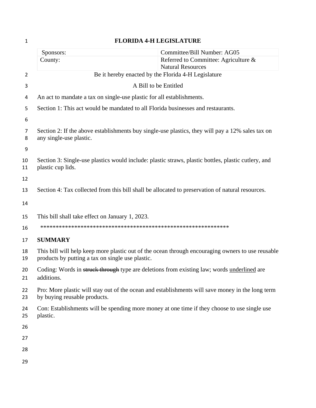| $\mathbf{1}$ | <b>FLORIDA 4-H LEGISLATURE</b>                                                                                                   |                                                                                                   |  |
|--------------|----------------------------------------------------------------------------------------------------------------------------------|---------------------------------------------------------------------------------------------------|--|
|              | Sponsors:                                                                                                                        | Committee/Bill Number: AG05                                                                       |  |
|              | County:                                                                                                                          | Referred to Committee: Agriculture &<br><b>Natural Resources</b>                                  |  |
| 2            |                                                                                                                                  | Be it hereby enacted by the Florida 4-H Legislature                                               |  |
| 3            |                                                                                                                                  | A Bill to be Entitled                                                                             |  |
| 4            | An act to mandate a tax on single-use plastic for all establishments.                                                            |                                                                                                   |  |
| 5            | Section 1: This act would be mandated to all Florida businesses and restaurants.                                                 |                                                                                                   |  |
| 6            |                                                                                                                                  |                                                                                                   |  |
| 7<br>8       | Section 2: If the above establishments buy single-use plastics, they will pay a 12% sales tax on<br>any single-use plastic.      |                                                                                                   |  |
| 9            |                                                                                                                                  |                                                                                                   |  |
| 10<br>11     | Section 3: Single-use plastics would include: plastic straws, plastic bottles, plastic cutlery, and<br>plastic cup lids.         |                                                                                                   |  |
| 12           |                                                                                                                                  |                                                                                                   |  |
| 13           | Section 4: Tax collected from this bill shall be allocated to preservation of natural resources.                                 |                                                                                                   |  |
| 14           |                                                                                                                                  |                                                                                                   |  |
| 15           | This bill shall take effect on January 1, 2023.                                                                                  |                                                                                                   |  |
| 16           |                                                                                                                                  |                                                                                                   |  |
| 17           | <b>SUMMARY</b>                                                                                                                   |                                                                                                   |  |
| 18<br>19     | products by putting a tax on single use plastic.                                                                                 | This bill will help keep more plastic out of the ocean through encouraging owners to use reusable |  |
| 20<br>21     | Coding: Words in struck through type are deletions from existing law; words underlined are<br>additions.                         |                                                                                                   |  |
| 22<br>23     | Pro: More plastic will stay out of the ocean and establishments will save money in the long term<br>by buying reusable products. |                                                                                                   |  |
| 24<br>25     | Con: Establishments will be spending more money at one time if they choose to use single use<br>plastic.                         |                                                                                                   |  |
| 26           |                                                                                                                                  |                                                                                                   |  |
| 27           |                                                                                                                                  |                                                                                                   |  |
| 28           |                                                                                                                                  |                                                                                                   |  |
| 29           |                                                                                                                                  |                                                                                                   |  |
|              |                                                                                                                                  |                                                                                                   |  |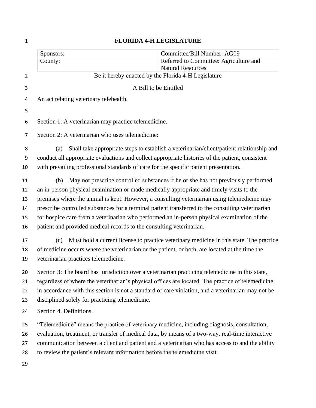| $\mathbf{1}$   | <b>FLORIDA 4-H LEGISLATURE</b>                                                                    |                                                                                                    |  |
|----------------|---------------------------------------------------------------------------------------------------|----------------------------------------------------------------------------------------------------|--|
|                | Sponsors:                                                                                         | Committee/Bill Number: AG09                                                                        |  |
|                | County:                                                                                           | Referred to Committee: Agriculture and                                                             |  |
|                |                                                                                                   | <b>Natural Resources</b>                                                                           |  |
| $\overline{2}$ |                                                                                                   | Be it hereby enacted by the Florida 4-H Legislature                                                |  |
| 3              |                                                                                                   | A Bill to be Entitled                                                                              |  |
| 4              | An act relating veterinary telehealth.                                                            |                                                                                                    |  |
| 5              |                                                                                                   |                                                                                                    |  |
| 6              | Section 1: A veterinarian may practice telemedicine.                                              |                                                                                                    |  |
| 7              | Section 2: A veterinarian who uses telemedicine:                                                  |                                                                                                    |  |
| 8              | (a)                                                                                               | Shall take appropriate steps to establish a veterinarian/client/patient relationship and           |  |
| 9              | conduct all appropriate evaluations and collect appropriate histories of the patient, consistent  |                                                                                                    |  |
| 10             | with prevailing professional standards of care for the specific patient presentation.             |                                                                                                    |  |
| 11             | (b)                                                                                               | May not prescribe controlled substances if he or she has not previously performed                  |  |
| 12             | an in-person physical examination or made medically appropriate and timely visits to the          |                                                                                                    |  |
| 13             | premises where the animal is kept. However, a consulting veterinarian using telemedicine may      |                                                                                                    |  |
| 14             | prescribe controlled substances for a terminal patient transferred to the consulting veterinarian |                                                                                                    |  |
| 15             | for hospice care from a veterinarian who performed an in-person physical examination of the       |                                                                                                    |  |
| 16             | patient and provided medical records to the consulting veterinarian.                              |                                                                                                    |  |
| 17             | (c)                                                                                               | Must hold a current license to practice veterinary medicine in this state. The practice            |  |
| 18             | of medicine occurs where the veterinarian or the patient, or both, are located at the time the    |                                                                                                    |  |
| 19             | veterinarian practices telemedicine.                                                              |                                                                                                    |  |
| 20             | Section 3: The board has jurisdiction over a veterinarian practicing telemedicine in this state,  |                                                                                                    |  |
| 21             |                                                                                                   | regardless of where the veterinarian's physical offices are located. The practice of telemedicine  |  |
| 22             |                                                                                                   | in accordance with this section is not a standard of care violation, and a veterinarian may not be |  |
| 23             | disciplined solely for practicing telemedicine.                                                   |                                                                                                    |  |
| 24             | Section 4. Definitions.                                                                           |                                                                                                    |  |
| 25             | "Telemedicine" means the practice of veterinary medicine, including diagnosis, consultation,      |                                                                                                    |  |
| 26             |                                                                                                   | evaluation, treatment, or transfer of medical data, by means of a two-way, real-time interactive   |  |
| 27             |                                                                                                   | communication between a client and patient and a veterinarian who has access to and the ability    |  |
| 28             | to review the patient's relevant information before the telemedicine visit.                       |                                                                                                    |  |
| 29             |                                                                                                   |                                                                                                    |  |
|                |                                                                                                   |                                                                                                    |  |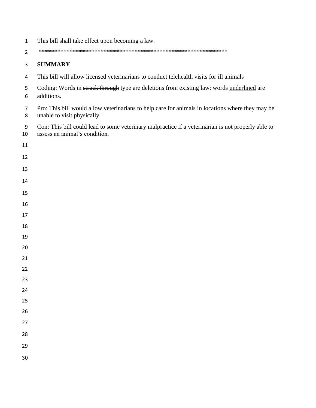| $\mathbf 1$         | This bill shall take effect upon becoming a law.                                                                                    |
|---------------------|-------------------------------------------------------------------------------------------------------------------------------------|
| $\overline{2}$      |                                                                                                                                     |
| 3                   | <b>SUMMARY</b>                                                                                                                      |
| 4                   | This bill will allow licensed veterinarians to conduct telehealth visits for ill animals                                            |
| 5<br>6              | Coding: Words in struck through type are deletions from existing law; words underlined are<br>additions.                            |
| $\overline{7}$<br>8 | Pro: This bill would allow veterinarians to help care for animals in locations where they may be<br>unable to visit physically.     |
| 9<br>10             | Con: This bill could lead to some veterinary malpractice if a veterinarian is not properly able to<br>assess an animal's condition. |
| 11                  |                                                                                                                                     |
| 12                  |                                                                                                                                     |
| 13                  |                                                                                                                                     |
| 14                  |                                                                                                                                     |
| 15                  |                                                                                                                                     |
| 16                  |                                                                                                                                     |
| 17                  |                                                                                                                                     |
| 18                  |                                                                                                                                     |
| 19                  |                                                                                                                                     |
| 20                  |                                                                                                                                     |
| 21<br>22            |                                                                                                                                     |
| 23                  |                                                                                                                                     |
| 24                  |                                                                                                                                     |
| 25                  |                                                                                                                                     |
| 26                  |                                                                                                                                     |
| 27                  |                                                                                                                                     |
| 28                  |                                                                                                                                     |
| 29                  |                                                                                                                                     |
| 30                  |                                                                                                                                     |
|                     |                                                                                                                                     |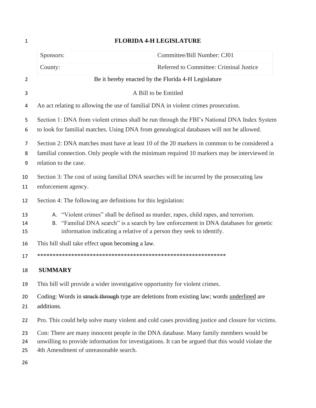|                                                          | Sponsors:                                                                                                                                                        | Committee/Bill Number: CJ01                                                                                                                                                                |
|----------------------------------------------------------|------------------------------------------------------------------------------------------------------------------------------------------------------------------|--------------------------------------------------------------------------------------------------------------------------------------------------------------------------------------------|
|                                                          | County:                                                                                                                                                          | Referred to Committee: Criminal Justice                                                                                                                                                    |
| Be it hereby enacted by the Florida 4-H Legislature<br>2 |                                                                                                                                                                  |                                                                                                                                                                                            |
| 3                                                        |                                                                                                                                                                  | A Bill to be Entitled                                                                                                                                                                      |
| 4                                                        | An act relating to allowing the use of familial DNA in violent crimes prosecution.                                                                               |                                                                                                                                                                                            |
| 5<br>6                                                   | to look for familial matches. Using DNA from genealogical databases will not be allowed.                                                                         | Section 1: DNA from violent crimes shall be run through the FBI's National DNA Index System                                                                                                |
| 7<br>8<br>9                                              | relation to the case.                                                                                                                                            | Section 2: DNA matches must have at least 10 of the 20 markers in common to be considered a<br>familial connection. Only people with the minimum required 10 markers may be interviewed in |
| 10<br>11                                                 | Section 3: The cost of using familial DNA searches will be incurred by the prosecuting law<br>enforcement agency.                                                |                                                                                                                                                                                            |
| 12                                                       | Section 4: The following are definitions for this legislation:                                                                                                   |                                                                                                                                                                                            |
| 13<br>14<br>15                                           | A. "Violent crimes" shall be defined as murder, rapes, child rapes, and terrorism.<br>В.<br>information indicating a relative of a person they seek to identify. | "Familial DNA search" is a search by law enforcement in DNA databases for genetic                                                                                                          |
| 16                                                       | This bill shall take effect upon becoming a law.                                                                                                                 |                                                                                                                                                                                            |
| 17                                                       |                                                                                                                                                                  |                                                                                                                                                                                            |
| 18                                                       | <b>SUMMARY</b>                                                                                                                                                   |                                                                                                                                                                                            |
| 19                                                       | This bill will provide a wider investigative opportunity for violent crimes.                                                                                     |                                                                                                                                                                                            |
| 20<br>21                                                 | Coding: Words in struck through type are deletions from existing law; words underlined are<br>additions.                                                         |                                                                                                                                                                                            |
| 22                                                       |                                                                                                                                                                  | Pro. This could help solve many violent and cold cases providing justice and closure for victims.                                                                                          |
| 23<br>24<br>25                                           | Con: There are many innocent people in the DNA database. Many family members would be<br>4th Amendment of unreasonable search.                                   | unwilling to provide information for investigations. It can be argued that this would violate the                                                                                          |
| 26                                                       |                                                                                                                                                                  |                                                                                                                                                                                            |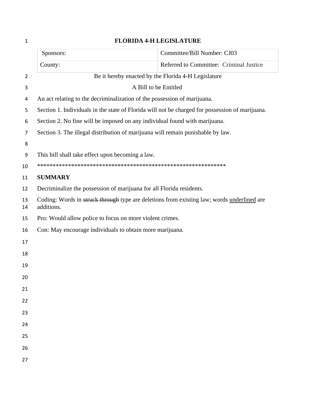|                                                                                                          | Sponsors:                                                                | Committee/Bill Number: CJ03                                                                     |
|----------------------------------------------------------------------------------------------------------|--------------------------------------------------------------------------|-------------------------------------------------------------------------------------------------|
|                                                                                                          | County:                                                                  | Referred to Committee: Criminal Justice                                                         |
| Be it hereby enacted by the Florida 4-H Legislature<br>$\overline{2}$                                    |                                                                          |                                                                                                 |
|                                                                                                          | A Bill to be Entitled                                                    |                                                                                                 |
|                                                                                                          | An act relating to the decriminalization of the possession of marijuana. |                                                                                                 |
|                                                                                                          |                                                                          | Section 1. Individuals in the state of Florida will not be charged for possession of marijuana. |
|                                                                                                          |                                                                          | Section 2. No fine will be imposed on any individual found with marijuana.                      |
|                                                                                                          |                                                                          | Section 3. The illegal distribution of marijuana will remain punishable by law.                 |
|                                                                                                          |                                                                          |                                                                                                 |
|                                                                                                          | This bill shall take effect upon becoming a law.                         |                                                                                                 |
|                                                                                                          |                                                                          |                                                                                                 |
|                                                                                                          | <b>SUMMARY</b>                                                           |                                                                                                 |
|                                                                                                          | Decriminalize the possession of marijuana for all Florida residents.     |                                                                                                 |
| Coding: Words in struck through type are deletions from existing law; words underlined are<br>additions. |                                                                          |                                                                                                 |
| Pro: Would allow police to focus on more violent crimes.                                                 |                                                                          |                                                                                                 |
|                                                                                                          | Con: May encourage individuals to obtain more marijuana.                 |                                                                                                 |
|                                                                                                          |                                                                          |                                                                                                 |
|                                                                                                          |                                                                          |                                                                                                 |
|                                                                                                          |                                                                          |                                                                                                 |
|                                                                                                          |                                                                          |                                                                                                 |
|                                                                                                          |                                                                          |                                                                                                 |
|                                                                                                          |                                                                          |                                                                                                 |
|                                                                                                          |                                                                          |                                                                                                 |
|                                                                                                          |                                                                          |                                                                                                 |
|                                                                                                          |                                                                          |                                                                                                 |
|                                                                                                          |                                                                          |                                                                                                 |
|                                                                                                          |                                                                          |                                                                                                 |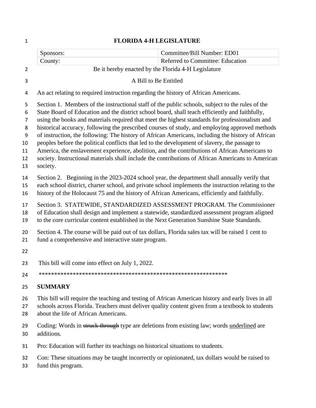| Sponsors:                                                                                                                                                | Committee/Bill Number: ED01                                                                                                                                                                                                                                                                                                                                                                                                                                                                                                                                                                                                                                                                                                                                                                                         |
|----------------------------------------------------------------------------------------------------------------------------------------------------------|---------------------------------------------------------------------------------------------------------------------------------------------------------------------------------------------------------------------------------------------------------------------------------------------------------------------------------------------------------------------------------------------------------------------------------------------------------------------------------------------------------------------------------------------------------------------------------------------------------------------------------------------------------------------------------------------------------------------------------------------------------------------------------------------------------------------|
| County:                                                                                                                                                  | Referred to Committee: Education                                                                                                                                                                                                                                                                                                                                                                                                                                                                                                                                                                                                                                                                                                                                                                                    |
|                                                                                                                                                          | Be it hereby enacted by the Florida 4-H Legislature                                                                                                                                                                                                                                                                                                                                                                                                                                                                                                                                                                                                                                                                                                                                                                 |
|                                                                                                                                                          | A Bill to Be Entitled                                                                                                                                                                                                                                                                                                                                                                                                                                                                                                                                                                                                                                                                                                                                                                                               |
|                                                                                                                                                          | An act relating to required instruction regarding the history of African Americans.                                                                                                                                                                                                                                                                                                                                                                                                                                                                                                                                                                                                                                                                                                                                 |
| society.                                                                                                                                                 | Section 1. Members of the instructional staff of the public schools, subject to the rules of the<br>State Board of Education and the district school board, shall teach efficiently and faithfully,<br>using the books and materials required that meet the highest standards for professionalism and<br>historical accuracy, following the prescribed courses of study, and employing approved methods<br>of instruction, the following: The history of African Americans, including the history of African<br>peoples before the political conflicts that led to the development of slavery, the passage to<br>America, the enslavement experience, abolition, and the contributions of African Americans to<br>society. Instructional materials shall include the contributions of African Americans to American |
|                                                                                                                                                          | Section 2. Beginning in the 2023-2024 school year, the department shall annually verify that<br>each school district, charter school, and private school implements the instruction relating to the<br>history of the Holocaust 75 and the history of African Americans, efficiently and faithfully.                                                                                                                                                                                                                                                                                                                                                                                                                                                                                                                |
|                                                                                                                                                          | Section 3. STATEWIDE, STANDARDIZED ASSESSMENT PROGRAM. The Commissioner<br>of Education shall design and implement a statewide, standardized assessment program aligned<br>to the core curricular content established in the Next Generation Sunshine State Standards.                                                                                                                                                                                                                                                                                                                                                                                                                                                                                                                                              |
| Section 4. The course will be paid out of tax dollars, Florida sales tax will be raised 1 cent to<br>fund a comprehensive and interactive state program. |                                                                                                                                                                                                                                                                                                                                                                                                                                                                                                                                                                                                                                                                                                                                                                                                                     |
|                                                                                                                                                          |                                                                                                                                                                                                                                                                                                                                                                                                                                                                                                                                                                                                                                                                                                                                                                                                                     |
| This bill will come into effect on July 1, 2022.                                                                                                         |                                                                                                                                                                                                                                                                                                                                                                                                                                                                                                                                                                                                                                                                                                                                                                                                                     |
|                                                                                                                                                          |                                                                                                                                                                                                                                                                                                                                                                                                                                                                                                                                                                                                                                                                                                                                                                                                                     |
| <b>SUMMARY</b>                                                                                                                                           |                                                                                                                                                                                                                                                                                                                                                                                                                                                                                                                                                                                                                                                                                                                                                                                                                     |
| about the life of African Americans.                                                                                                                     | This bill will require the teaching and testing of African American history and early lives in all<br>schools across Florida. Teachers must deliver quality content given from a textbook to students                                                                                                                                                                                                                                                                                                                                                                                                                                                                                                                                                                                                               |
|                                                                                                                                                          | Coding: Words in struck through type are deletions from existing law; words underlined are                                                                                                                                                                                                                                                                                                                                                                                                                                                                                                                                                                                                                                                                                                                          |

- additions.
- Pro: Education will further its teachings on historical situations to students.
- Con: These situations may be taught incorrectly or opinionated, tax dollars would be raised to
- fund this program.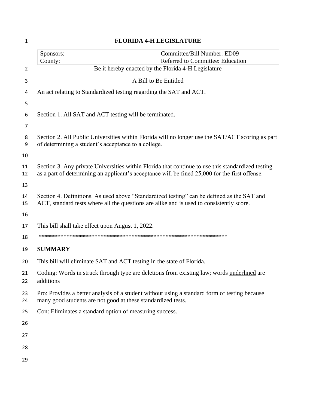| $\mathbf{1}$   | <b>FLORIDA 4-H LEGISLATURE</b>                                        |                                                                                                                                                                                                     |  |
|----------------|-----------------------------------------------------------------------|-----------------------------------------------------------------------------------------------------------------------------------------------------------------------------------------------------|--|
|                | Sponsors:                                                             | Committee/Bill Number: ED09                                                                                                                                                                         |  |
|                | County:                                                               | Referred to Committee: Education                                                                                                                                                                    |  |
| $\overline{2}$ | Be it hereby enacted by the Florida 4-H Legislature                   |                                                                                                                                                                                                     |  |
| 3              |                                                                       | A Bill to Be Entitled                                                                                                                                                                               |  |
| 4              | An act relating to Standardized testing regarding the SAT and ACT.    |                                                                                                                                                                                                     |  |
| 5              |                                                                       |                                                                                                                                                                                                     |  |
| 6              | Section 1. All SAT and ACT testing will be terminated.                |                                                                                                                                                                                                     |  |
| 7              |                                                                       |                                                                                                                                                                                                     |  |
| 8<br>9         | of determining a student's acceptance to a college.                   | Section 2. All Public Universities within Florida will no longer use the SAT/ACT scoring as part                                                                                                    |  |
| 10             |                                                                       |                                                                                                                                                                                                     |  |
| 11<br>12       |                                                                       | Section 3. Any private Universities within Florida that continue to use this standardized testing<br>as a part of determining an applicant's acceptance will be fined 25,000 for the first offense. |  |
| 13             |                                                                       |                                                                                                                                                                                                     |  |
| 14<br>15       |                                                                       | Section 4. Definitions. As used above "Standardized testing" can be defined as the SAT and<br>ACT, standard tests where all the questions are alike and is used to consistently score.              |  |
| 16             |                                                                       |                                                                                                                                                                                                     |  |
| 17             | This bill shall take effect upon August 1, 2022.                      |                                                                                                                                                                                                     |  |
| 18             |                                                                       |                                                                                                                                                                                                     |  |
| 19             | <b>SUMMARY</b>                                                        |                                                                                                                                                                                                     |  |
| 20             | This bill will eliminate SAT and ACT testing in the state of Florida. |                                                                                                                                                                                                     |  |
| 21<br>22       | additions                                                             | Coding: Words in struck through type are deletions from existing law; words underlined are                                                                                                          |  |
| 23<br>24       | many good students are not good at these standardized tests.          | Pro: Provides a better analysis of a student without using a standard form of testing because                                                                                                       |  |
| 25             | Con: Eliminates a standard option of measuring success.               |                                                                                                                                                                                                     |  |
| 26             |                                                                       |                                                                                                                                                                                                     |  |
| 27             |                                                                       |                                                                                                                                                                                                     |  |
| 28             |                                                                       |                                                                                                                                                                                                     |  |
| 29             |                                                                       |                                                                                                                                                                                                     |  |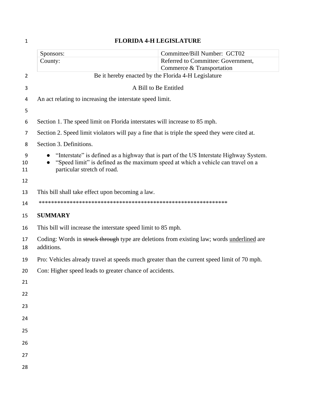| <b>FLORIDA 4-H LEGISLATURE</b><br>$\mathbf{1}$ |                                                                                                                                                                                                           |                                                                 |
|------------------------------------------------|-----------------------------------------------------------------------------------------------------------------------------------------------------------------------------------------------------------|-----------------------------------------------------------------|
|                                                | Sponsors:                                                                                                                                                                                                 | Committee/Bill Number: GCT02                                    |
|                                                | County:                                                                                                                                                                                                   | Referred to Committee: Government,<br>Commerce & Transportation |
| 2                                              | Be it hereby enacted by the Florida 4-H Legislature                                                                                                                                                       |                                                                 |
| 3                                              | A Bill to Be Entitled                                                                                                                                                                                     |                                                                 |
| 4                                              | An act relating to increasing the interstate speed limit.                                                                                                                                                 |                                                                 |
| 5                                              |                                                                                                                                                                                                           |                                                                 |
| 6                                              | Section 1. The speed limit on Florida interstates will increase to 85 mph.                                                                                                                                |                                                                 |
| 7                                              | Section 2. Speed limit violators will pay a fine that is triple the speed they were cited at.                                                                                                             |                                                                 |
| 8                                              | Section 3. Definitions.                                                                                                                                                                                   |                                                                 |
| 9<br>10<br>11                                  | "Interstate" is defined as a highway that is part of the US Interstate Highway System.<br>"Speed limit" is defined as the maximum speed at which a vehicle can travel on a<br>particular stretch of road. |                                                                 |
| 12                                             |                                                                                                                                                                                                           |                                                                 |
| 13                                             | This bill shall take effect upon becoming a law.                                                                                                                                                          |                                                                 |
| 14                                             |                                                                                                                                                                                                           |                                                                 |
| 15                                             | <b>SUMMARY</b>                                                                                                                                                                                            |                                                                 |
| 16                                             | This bill will increase the interstate speed limit to 85 mph.                                                                                                                                             |                                                                 |
| 17<br>18                                       | Coding: Words in struck through type are deletions from existing law; words underlined are<br>additions.                                                                                                  |                                                                 |
| 19                                             | Pro: Vehicles already travel at speeds much greater than the current speed limit of 70 mph.                                                                                                               |                                                                 |
| 20                                             | Con: Higher speed leads to greater chance of accidents.                                                                                                                                                   |                                                                 |
| 21                                             |                                                                                                                                                                                                           |                                                                 |
| 22                                             |                                                                                                                                                                                                           |                                                                 |
| 23                                             |                                                                                                                                                                                                           |                                                                 |
| 24                                             |                                                                                                                                                                                                           |                                                                 |
| 25                                             |                                                                                                                                                                                                           |                                                                 |
| 26                                             |                                                                                                                                                                                                           |                                                                 |
| 27                                             |                                                                                                                                                                                                           |                                                                 |
| 28                                             |                                                                                                                                                                                                           |                                                                 |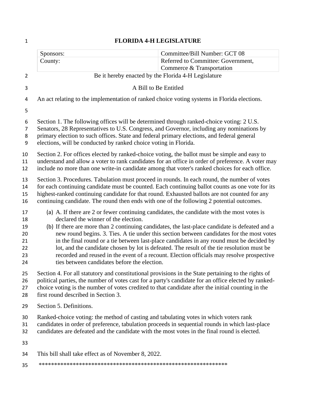|                                              | Sponsors:                                                                                                                                                                                                                                                                                                                                                                                      | Committee/Bill Number: GCT 08                                                                                                                                                                                                                                                                                                                                                                                                                                                       |
|----------------------------------------------|------------------------------------------------------------------------------------------------------------------------------------------------------------------------------------------------------------------------------------------------------------------------------------------------------------------------------------------------------------------------------------------------|-------------------------------------------------------------------------------------------------------------------------------------------------------------------------------------------------------------------------------------------------------------------------------------------------------------------------------------------------------------------------------------------------------------------------------------------------------------------------------------|
|                                              | County:                                                                                                                                                                                                                                                                                                                                                                                        | Referred to Committee: Government,<br>Commerce & Transportation                                                                                                                                                                                                                                                                                                                                                                                                                     |
| $\overline{2}$                               | Be it hereby enacted by the Florida 4-H Legislature                                                                                                                                                                                                                                                                                                                                            |                                                                                                                                                                                                                                                                                                                                                                                                                                                                                     |
| 3                                            | A Bill to Be Entitled                                                                                                                                                                                                                                                                                                                                                                          |                                                                                                                                                                                                                                                                                                                                                                                                                                                                                     |
| 4                                            | An act relating to the implementation of ranked choice voting systems in Florida elections.                                                                                                                                                                                                                                                                                                    |                                                                                                                                                                                                                                                                                                                                                                                                                                                                                     |
| 5                                            |                                                                                                                                                                                                                                                                                                                                                                                                |                                                                                                                                                                                                                                                                                                                                                                                                                                                                                     |
| 6<br>7<br>8<br>9                             | Section 1. The following offices will be determined through ranked-choice voting: 2 U.S.<br>Senators, 28 Representatives to U.S. Congress, and Governor, including any nominations by<br>primary election to such offices. State and federal primary elections, and federal general<br>elections, will be conducted by ranked choice voting in Florida.                                        |                                                                                                                                                                                                                                                                                                                                                                                                                                                                                     |
| 10<br>11<br>12                               | Section 2. For offices elected by ranked-choice voting, the ballot must be simple and easy to<br>understand and allow a voter to rank candidates for an office in order of preference. A voter may<br>include no more than one write-in candidate among that voter's ranked choices for each office.                                                                                           |                                                                                                                                                                                                                                                                                                                                                                                                                                                                                     |
| 13<br>14<br>15<br>16                         | Section 3. Procedures. Tabulation must proceed in rounds. In each round, the number of votes<br>for each continuing candidate must be counted. Each continuing ballot counts as one vote for its<br>highest-ranked continuing candidate for that round. Exhausted ballots are not counted for any<br>continuing candidate. The round then ends with one of the following 2 potential outcomes. |                                                                                                                                                                                                                                                                                                                                                                                                                                                                                     |
| 17<br>18<br>19<br>20<br>21<br>22<br>23<br>24 | (a) A. If there are 2 or fewer continuing candidates, the candidate with the most votes is<br>declared the winner of the election.<br>ties between candidates before the election.                                                                                                                                                                                                             | (b) If there are more than 2 continuing candidates, the last-place candidate is defeated and a<br>new round begins. 3. Ties. A tie under this section between candidates for the most votes<br>in the final round or a tie between last-place candidates in any round must be decided by<br>lot, and the candidate chosen by lot is defeated. The result of the tie resolution must be<br>recorded and reused in the event of a recount. Election officials may resolve prospective |
| 25<br>26<br>27<br>28                         | Section 4. For all statutory and constitutional provisions in the State pertaining to the rights of<br>political parties, the number of votes cast for a party's candidate for an office elected by ranked-<br>choice voting is the number of votes credited to that candidate after the initial counting in the<br>first round described in Section 3.                                        |                                                                                                                                                                                                                                                                                                                                                                                                                                                                                     |
| 29                                           | Section 5. Definitions.                                                                                                                                                                                                                                                                                                                                                                        |                                                                                                                                                                                                                                                                                                                                                                                                                                                                                     |
| 30<br>31<br>32                               | Ranked-choice voting: the method of casting and tabulating votes in which voters rank<br>candidates in order of preference, tabulation proceeds in sequential rounds in which last-place<br>candidates are defeated and the candidate with the most votes in the final round is elected.                                                                                                       |                                                                                                                                                                                                                                                                                                                                                                                                                                                                                     |
| 33                                           |                                                                                                                                                                                                                                                                                                                                                                                                |                                                                                                                                                                                                                                                                                                                                                                                                                                                                                     |
| 34                                           | This bill shall take effect as of November 8, 2022.                                                                                                                                                                                                                                                                                                                                            |                                                                                                                                                                                                                                                                                                                                                                                                                                                                                     |
| 35                                           |                                                                                                                                                                                                                                                                                                                                                                                                |                                                                                                                                                                                                                                                                                                                                                                                                                                                                                     |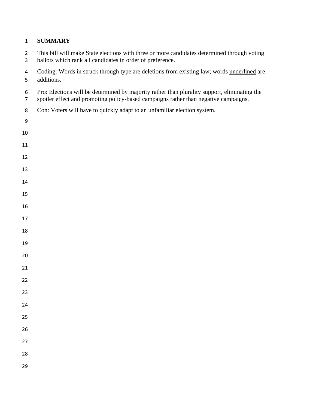#### **SUMMARY**

- This bill will make State elections with three or more candidates determined through voting
- ballots which rank all candidates in order of preference.
- 4 Coding: Words in struck through type are deletions from existing law; words underlined are additions.
- Pro: Elections will be determined by majority rather than plurality support, eliminating the
- spoiler effect and promoting policy-based campaigns rather than negative campaigns.
- Con: Voters will have to quickly adapt to an unfamiliar election system.
-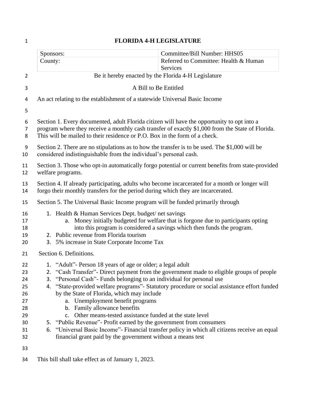|                                                                | Committee/Bill Number: HHS05<br>Sponsors:                                                                                                                                                                                                                                                                                                                                                                                                                                                                                                                                                                                                                                                                                                                                        |
|----------------------------------------------------------------|----------------------------------------------------------------------------------------------------------------------------------------------------------------------------------------------------------------------------------------------------------------------------------------------------------------------------------------------------------------------------------------------------------------------------------------------------------------------------------------------------------------------------------------------------------------------------------------------------------------------------------------------------------------------------------------------------------------------------------------------------------------------------------|
|                                                                | Referred to Committee: Health & Human<br>County:                                                                                                                                                                                                                                                                                                                                                                                                                                                                                                                                                                                                                                                                                                                                 |
| $\overline{2}$                                                 | <b>Services</b><br>Be it hereby enacted by the Florida 4-H Legislature                                                                                                                                                                                                                                                                                                                                                                                                                                                                                                                                                                                                                                                                                                           |
| 3                                                              | A Bill to Be Entitled                                                                                                                                                                                                                                                                                                                                                                                                                                                                                                                                                                                                                                                                                                                                                            |
|                                                                |                                                                                                                                                                                                                                                                                                                                                                                                                                                                                                                                                                                                                                                                                                                                                                                  |
| 4                                                              | An act relating to the establishment of a statewide Universal Basic Income                                                                                                                                                                                                                                                                                                                                                                                                                                                                                                                                                                                                                                                                                                       |
| 5                                                              |                                                                                                                                                                                                                                                                                                                                                                                                                                                                                                                                                                                                                                                                                                                                                                                  |
| 6<br>$\overline{7}$<br>8                                       | Section 1. Every documented, adult Florida citizen will have the opportunity to opt into a<br>program where they receive a monthly cash transfer of exactly \$1,000 from the State of Florida.<br>This will be mailed to their residence or P.O. Box in the form of a check.                                                                                                                                                                                                                                                                                                                                                                                                                                                                                                     |
| $\boldsymbol{9}$<br>10                                         | Section 2. There are no stipulations as to how the transfer is to be used. The \$1,000 will be<br>considered indistinguishable from the individual's personal cash.                                                                                                                                                                                                                                                                                                                                                                                                                                                                                                                                                                                                              |
| 11<br>12                                                       | Section 3. Those who opt-in automatically forgo potential or current benefits from state-provided<br>welfare programs.                                                                                                                                                                                                                                                                                                                                                                                                                                                                                                                                                                                                                                                           |
| 13<br>14                                                       | Section 4. If already participating, adults who become incarcerated for a month or longer will<br>forgo their monthly transfers for the period during which they are incarcerated.                                                                                                                                                                                                                                                                                                                                                                                                                                                                                                                                                                                               |
| 15                                                             | Section 5. The Universal Basic Income program will be funded primarily through                                                                                                                                                                                                                                                                                                                                                                                                                                                                                                                                                                                                                                                                                                   |
| 16<br>17<br>18<br>19<br>20                                     | 1. Health & Human Services Dept. budget/net savings<br>a. Money initially budgeted for welfare that is forgone due to participants opting<br>into this program is considered a savings which then funds the program.<br>2. Public revenue from Florida tourism<br>3. 5% increase in State Corporate Income Tax                                                                                                                                                                                                                                                                                                                                                                                                                                                                   |
| 21                                                             | Section 6. Definitions.                                                                                                                                                                                                                                                                                                                                                                                                                                                                                                                                                                                                                                                                                                                                                          |
| 22<br>23<br>24<br>25<br>26<br>27<br>28<br>29<br>30<br>31<br>32 | 1. "Adult"- Person 18 years of age or older; a legal adult<br>2. "Cash Transfer"- Direct payment from the government made to eligible groups of people<br>"Personal Cash"- Funds belonging to an individual for personal use<br>3.<br>"State-provided welfare programs"- Statutory procedure or social assistance effort funded<br>4.<br>by the State of Florida, which may include<br>a. Unemployment benefit programs<br>b. Family allowance benefits<br>Other means-tested assistance funded at the state level<br>C <sub>1</sub><br>5. "Public Revenue" - Profit earned by the government from consumers<br>"Universal Basic Income" - Financial transfer policy in which all citizens receive an equal<br>6.<br>financial grant paid by the government without a means test |
| 33                                                             |                                                                                                                                                                                                                                                                                                                                                                                                                                                                                                                                                                                                                                                                                                                                                                                  |
| 34                                                             | This bill shall take effect as of January 1, 2023.                                                                                                                                                                                                                                                                                                                                                                                                                                                                                                                                                                                                                                                                                                                               |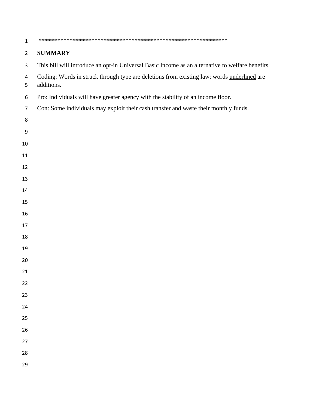| $\mathbf{1}$   |                                                                                                          |
|----------------|----------------------------------------------------------------------------------------------------------|
| $\overline{2}$ | <b>SUMMARY</b>                                                                                           |
| $\mathsf{3}$   | This bill will introduce an opt-in Universal Basic Income as an alternative to welfare benefits.         |
| 4<br>5         | Coding: Words in struck through type are deletions from existing law; words underlined are<br>additions. |
| 6              | Pro: Individuals will have greater agency with the stability of an income floor.                         |
| $\overline{7}$ | Con: Some individuals may exploit their cash transfer and waste their monthly funds.                     |
| 8              |                                                                                                          |
| 9              |                                                                                                          |
| 10             |                                                                                                          |
| 11             |                                                                                                          |
| 12             |                                                                                                          |
| 13             |                                                                                                          |
| 14             |                                                                                                          |
| 15             |                                                                                                          |
| 16             |                                                                                                          |
| 17             |                                                                                                          |
| 18             |                                                                                                          |
| 19             |                                                                                                          |
| 20             |                                                                                                          |
| 21             |                                                                                                          |
| 22             |                                                                                                          |
| 23             |                                                                                                          |
| 24             |                                                                                                          |
| 25             |                                                                                                          |
| 26             |                                                                                                          |
| 27             |                                                                                                          |
| 28             |                                                                                                          |
| 29             |                                                                                                          |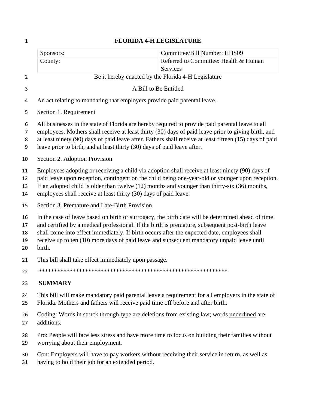|                            | Committee/Bill Number: HHS09<br>Sponsors:                                                                                                                                                                                                                                                                                                                                                                    |  |  |
|----------------------------|--------------------------------------------------------------------------------------------------------------------------------------------------------------------------------------------------------------------------------------------------------------------------------------------------------------------------------------------------------------------------------------------------------------|--|--|
|                            | Referred to Committee: Health & Human<br>County:                                                                                                                                                                                                                                                                                                                                                             |  |  |
|                            | <b>Services</b>                                                                                                                                                                                                                                                                                                                                                                                              |  |  |
| $\overline{2}$             | Be it hereby enacted by the Florida 4-H Legislature                                                                                                                                                                                                                                                                                                                                                          |  |  |
| 3                          | A Bill to Be Entitled                                                                                                                                                                                                                                                                                                                                                                                        |  |  |
| 4                          | An act relating to mandating that employers provide paid parental leave.                                                                                                                                                                                                                                                                                                                                     |  |  |
| 5                          | Section 1. Requirement                                                                                                                                                                                                                                                                                                                                                                                       |  |  |
| 6                          | All businesses in the state of Florida are hereby required to provide paid parental leave to all                                                                                                                                                                                                                                                                                                             |  |  |
| 7                          | employees. Mothers shall receive at least thirty (30) days of paid leave prior to giving birth, and                                                                                                                                                                                                                                                                                                          |  |  |
| 8<br>9                     | at least ninety (90) days of paid leave after. Fathers shall receive at least fifteen (15) days of paid<br>leave prior to birth, and at least thirty (30) days of paid leave after.                                                                                                                                                                                                                          |  |  |
| 10                         | Section 2. Adoption Provision                                                                                                                                                                                                                                                                                                                                                                                |  |  |
| 11<br>12<br>13<br>14       | Employees adopting or receiving a child via adoption shall receive at least ninety (90) days of<br>paid leave upon reception, contingent on the child being one-year-old or younger upon reception.<br>If an adopted child is older than twelve $(12)$ months and younger than thirty-six $(36)$ months,<br>employees shall receive at least thirty (30) days of paid leave.                                 |  |  |
| 15                         | Section 3. Premature and Late-Birth Provision                                                                                                                                                                                                                                                                                                                                                                |  |  |
| 16<br>17<br>18<br>19<br>20 | In the case of leave based on birth or surrogacy, the birth date will be determined ahead of time<br>and certified by a medical professional. If the birth is premature, subsequent post-birth leave<br>shall come into effect immediately. If birth occurs after the expected date, employees shall<br>receive up to ten (10) more days of paid leave and subsequent mandatory unpaid leave until<br>birth. |  |  |
| 21                         | This bill shall take effect immediately upon passage.                                                                                                                                                                                                                                                                                                                                                        |  |  |
| 22                         |                                                                                                                                                                                                                                                                                                                                                                                                              |  |  |
| 23                         | <b>SUMMARY</b>                                                                                                                                                                                                                                                                                                                                                                                               |  |  |
| 24<br>25                   | This bill will make mandatory paid parental leave a requirement for all employers in the state of<br>Florida. Mothers and fathers will receive paid time off before and after birth.                                                                                                                                                                                                                         |  |  |
| 26<br>27                   | Coding: Words in struck through type are deletions from existing law; words underlined are<br>additions.                                                                                                                                                                                                                                                                                                     |  |  |

- Pro: People will face less stress and have more time to focus on building their families without worrying about their employment.
- Con: Employers will have to pay workers without receiving their service in return, as well as
- having to hold their job for an extended period.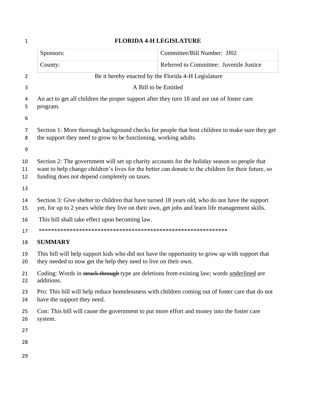| $\mathbf{1}$         | <b>FLORIDA 4-H LEGISLATURE</b>                                   |                                                                                                                                                                                                     |  |  |
|----------------------|------------------------------------------------------------------|-----------------------------------------------------------------------------------------------------------------------------------------------------------------------------------------------------|--|--|
|                      | Sponsors:                                                        | Committee/Bill Number: JJ02                                                                                                                                                                         |  |  |
|                      | County:                                                          | Referred to Committee: Juvenile Justice                                                                                                                                                             |  |  |
| $\overline{2}$       | Be it hereby enacted by the Florida 4-H Legislature              |                                                                                                                                                                                                     |  |  |
| 3                    | A Bill to be Entitled                                            |                                                                                                                                                                                                     |  |  |
| 4<br>5<br>6          | program.                                                         | An act to get all children the proper support after they turn 18 and are out of foster care                                                                                                         |  |  |
| 7<br>8<br>9          | the support they need to grow to be functioning, working adults. | Section 1: More thorough background checks for people that host children to make sure they get                                                                                                      |  |  |
| 10<br>11<br>12<br>13 | funding does not depend completely on taxes.                     | Section 2: The government will set up charity accounts for the holiday season so people that<br>want to help change children's lives for the better can donate to the children for their future, so |  |  |
| 14<br>15             |                                                                  | Section 3: Give shelter to children that have turned 18 years old, who do not have the support<br>yet, for up to 2 years while they live on their own, get jobs and learn life management skills.   |  |  |
| 16                   | This bill shall take effect upon becoming law.                   |                                                                                                                                                                                                     |  |  |
| 17                   |                                                                  |                                                                                                                                                                                                     |  |  |
| 18                   | <b>SUMMARY</b>                                                   |                                                                                                                                                                                                     |  |  |
| 19<br>20             | they needed to now get the help they need to live on their own.  | This bill will help support kids who did not have the opportunity to grow up with support that                                                                                                      |  |  |
| 21<br>22             | additions.                                                       | Coding: Words in struck through type are deletions from existing law; words underlined are                                                                                                          |  |  |
| 23<br>24             | have the support they need.                                      | Pro: This bill will help reduce homelessness with children coming out of foster care that do not                                                                                                    |  |  |
| 25<br>26             | system.                                                          | Con: This bill will cause the government to put more effort and money into the foster care                                                                                                          |  |  |
| 27                   |                                                                  |                                                                                                                                                                                                     |  |  |
| 28                   |                                                                  |                                                                                                                                                                                                     |  |  |
| 29                   |                                                                  |                                                                                                                                                                                                     |  |  |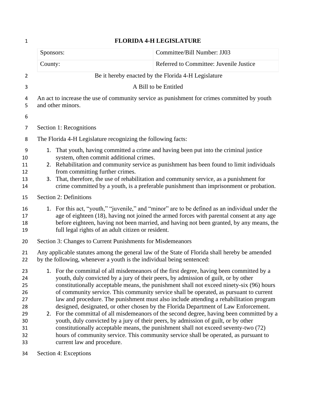| $\mathbf{1}$                                                   | <b>FLORIDA 4-H LEGISLATURE</b>                                                                                                                                                                                                                                                                                                                                                                                                                                                                                                                                                                                                                                                                                                                                                                                                                                                                                                                        |                                                     |  |  |
|----------------------------------------------------------------|-------------------------------------------------------------------------------------------------------------------------------------------------------------------------------------------------------------------------------------------------------------------------------------------------------------------------------------------------------------------------------------------------------------------------------------------------------------------------------------------------------------------------------------------------------------------------------------------------------------------------------------------------------------------------------------------------------------------------------------------------------------------------------------------------------------------------------------------------------------------------------------------------------------------------------------------------------|-----------------------------------------------------|--|--|
|                                                                | Sponsors:                                                                                                                                                                                                                                                                                                                                                                                                                                                                                                                                                                                                                                                                                                                                                                                                                                                                                                                                             | Committee/Bill Number: JJ03                         |  |  |
|                                                                | County:                                                                                                                                                                                                                                                                                                                                                                                                                                                                                                                                                                                                                                                                                                                                                                                                                                                                                                                                               | Referred to Committee: Juvenile Justice             |  |  |
| $\overline{2}$                                                 |                                                                                                                                                                                                                                                                                                                                                                                                                                                                                                                                                                                                                                                                                                                                                                                                                                                                                                                                                       | Be it hereby enacted by the Florida 4-H Legislature |  |  |
| 3                                                              | A Bill to be Entitled                                                                                                                                                                                                                                                                                                                                                                                                                                                                                                                                                                                                                                                                                                                                                                                                                                                                                                                                 |                                                     |  |  |
| 4<br>5<br>6                                                    | An act to increase the use of community service as punishment for crimes committed by youth<br>and other minors.                                                                                                                                                                                                                                                                                                                                                                                                                                                                                                                                                                                                                                                                                                                                                                                                                                      |                                                     |  |  |
| 7                                                              | Section 1: Recognitions                                                                                                                                                                                                                                                                                                                                                                                                                                                                                                                                                                                                                                                                                                                                                                                                                                                                                                                               |                                                     |  |  |
| 8                                                              | The Florida 4-H Legislature recognizing the following facts:                                                                                                                                                                                                                                                                                                                                                                                                                                                                                                                                                                                                                                                                                                                                                                                                                                                                                          |                                                     |  |  |
| 9<br>10<br>11<br>12<br>13<br>14                                | 1. That youth, having committed a crime and having been put into the criminal justice<br>system, often commit additional crimes.<br>2. Rehabilitation and community service as punishment has been found to limit individuals<br>from committing further crimes.<br>3. That, therefore, the use of rehabilitation and community service, as a punishment for<br>crime committed by a youth, is a preferable punishment than imprisonment or probation.                                                                                                                                                                                                                                                                                                                                                                                                                                                                                                |                                                     |  |  |
| 15                                                             | Section 2: Definitions                                                                                                                                                                                                                                                                                                                                                                                                                                                                                                                                                                                                                                                                                                                                                                                                                                                                                                                                |                                                     |  |  |
| 16<br>17<br>18<br>19                                           | 1. For this act, "youth," "juvenile," and "minor" are to be defined as an individual under the<br>age of eighteen (18), having not joined the armed forces with parental consent at any age<br>before eighteen, having not been married, and having not been granted, by any means, the<br>full legal rights of an adult citizen or resident.                                                                                                                                                                                                                                                                                                                                                                                                                                                                                                                                                                                                         |                                                     |  |  |
| 20                                                             | Section 3: Changes to Current Punishments for Misdemeanors                                                                                                                                                                                                                                                                                                                                                                                                                                                                                                                                                                                                                                                                                                                                                                                                                                                                                            |                                                     |  |  |
| 21<br>22                                                       | Any applicable statutes among the general law of the State of Florida shall hereby be amended<br>by the following, whenever a youth is the individual being sentenced:                                                                                                                                                                                                                                                                                                                                                                                                                                                                                                                                                                                                                                                                                                                                                                                |                                                     |  |  |
| 23<br>24<br>25<br>26<br>27<br>28<br>29<br>30<br>31<br>32<br>33 | 1. For the committal of all misdemeanors of the first degree, having been committed by a<br>youth, duly convicted by a jury of their peers, by admission of guilt, or by other<br>constitutionally acceptable means, the punishment shall not exceed ninety-six (96) hours<br>of community service. This community service shall be operated, as pursuant to current<br>law and procedure. The punishment must also include attending a rehabilitation program<br>designed, designated, or other chosen by the Florida Department of Law Enforcement.<br>2. For the committal of all misdemeanors of the second degree, having been committed by a<br>youth, duly convicted by a jury of their peers, by admission of guilt, or by other<br>constitutionally acceptable means, the punishment shall not exceed seventy-two (72)<br>hours of community service. This community service shall be operated, as pursuant to<br>current law and procedure. |                                                     |  |  |
| 34                                                             | Section 4: Exceptions                                                                                                                                                                                                                                                                                                                                                                                                                                                                                                                                                                                                                                                                                                                                                                                                                                                                                                                                 |                                                     |  |  |